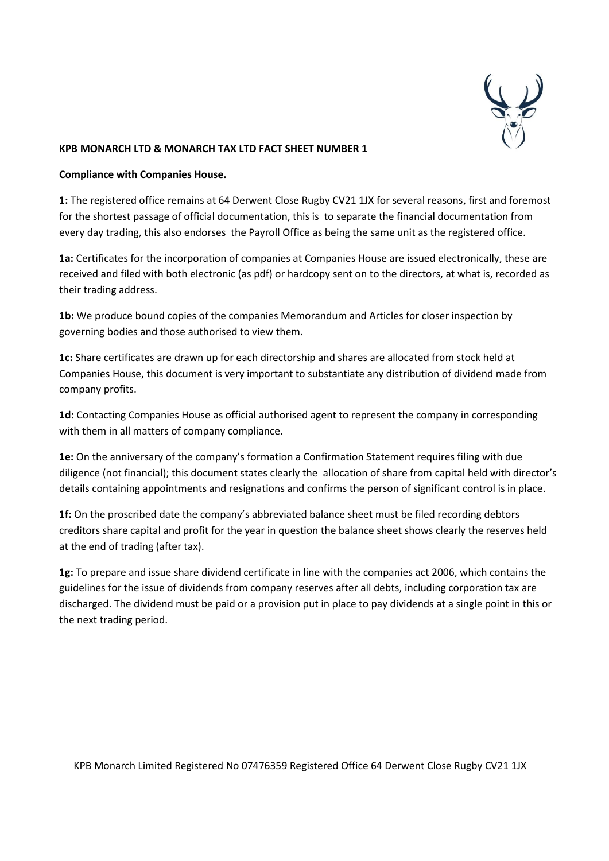

**Compliance with Companies House.**

**1:** The registered office remains at 64 Derwent Close Rugby CV21 1JX for several reasons, first and foremost for the shortest passage of official documentation, this is to separate the financial documentation from every day trading, this also endorses the Payroll Office as being the same unit as the registered office.

**1a:** Certificates for the incorporation of companies at Companies House are issued electronically, these are received and filed with both electronic (as pdf) or hardcopy sent on to the directors, at what is, recorded as their trading address.

**1b:** We produce bound copies of the companies Memorandum and Articles for closer inspection by governing bodies and those authorised to view them.

**1c:** Share certificates are drawn up for each directorship and shares are allocated from stock held at Companies House, this document is very important to substantiate any distribution of dividend made from company profits.

**1d:** Contacting Companies House as official authorised agent to represent the company in corresponding with them in all matters of company compliance.

**1e:** On the anniversary of the company's formation a Confirmation Statement requires filing with due diligence (not financial); this document states clearly the allocation of share from capital held with director's details containing appointments and resignations and confirms the person of significant control is in place.

**1f:** On the proscribed date the company's abbreviated balance sheet must be filed recording debtors creditors share capital and profit for the year in question the balance sheet shows clearly the reserves held at the end of trading (after tax).

**1g:** To prepare and issue share dividend certificate in line with the companies act 2006, which contains the guidelines for the issue of dividends from company reserves after all debts, including corporation tax are discharged. The dividend must be paid or a provision put in place to pay dividends at a single point in this or the next trading period.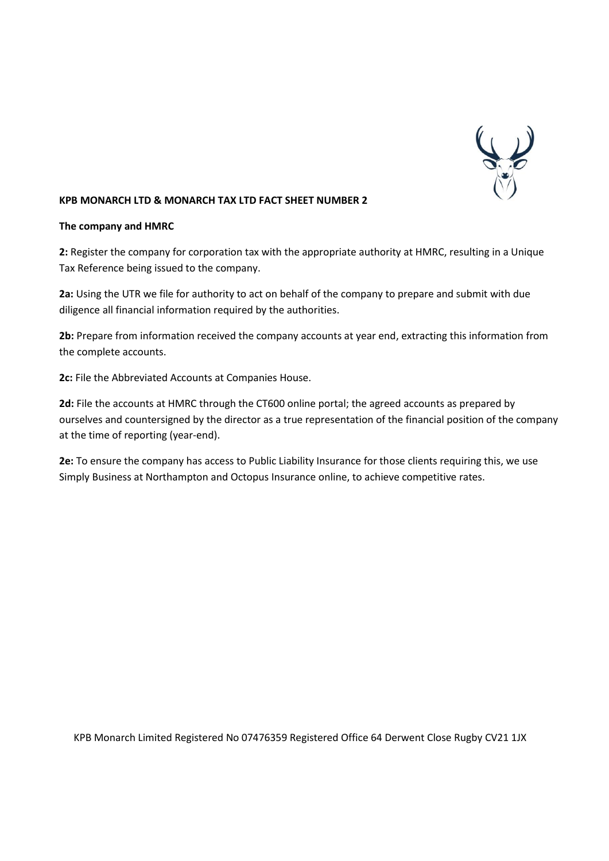

#### **The company and HMRC**

**2:** Register the company for corporation tax with the appropriate authority at HMRC, resulting in a Unique Tax Reference being issued to the company.

**2a:** Using the UTR we file for authority to act on behalf of the company to prepare and submit with due diligence all financial information required by the authorities.

**2b:** Prepare from information received the company accounts at year end, extracting this information from the complete accounts.

**2c:** File the Abbreviated Accounts at Companies House.

**2d:** File the accounts at HMRC through the CT600 online portal; the agreed accounts as prepared by ourselves and countersigned by the director as a true representation of the financial position of the company at the time of reporting (year-end).

**2e:** To ensure the company has access to Public Liability Insurance for those clients requiring this, we use Simply Business at Northampton and Octopus Insurance online, to achieve competitive rates.

KPB Monarch Limited Registered No 07476359 Registered Office 64 Derwent Close Rugby CV21 1JX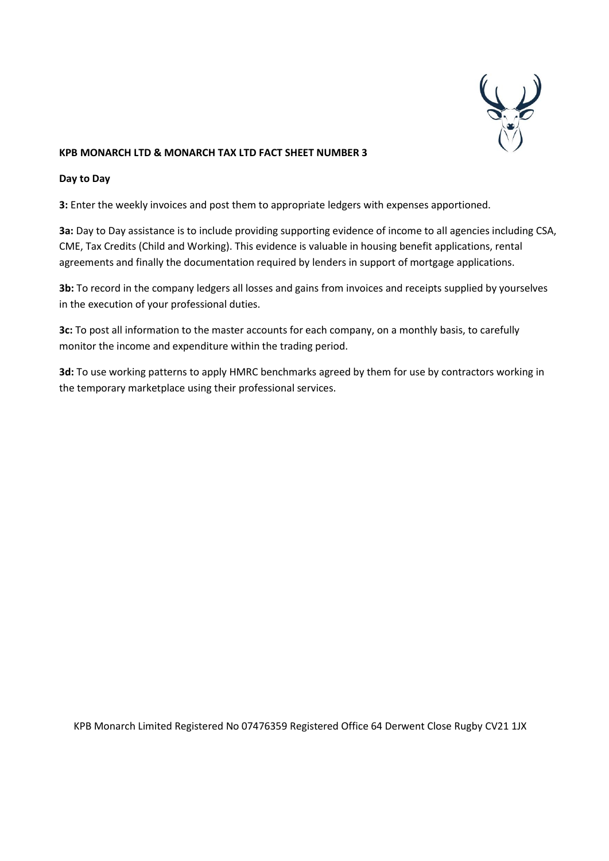

### **Day to Day**

**3:** Enter the weekly invoices and post them to appropriate ledgers with expenses apportioned.

**3a:** Day to Day assistance is to include providing supporting evidence of income to all agencies including CSA, CME, Tax Credits (Child and Working). This evidence is valuable in housing benefit applications, rental agreements and finally the documentation required by lenders in support of mortgage applications.

**3b:** To record in the company ledgers all losses and gains from invoices and receipts supplied by yourselves in the execution of your professional duties.

**3c:** To post all information to the master accounts for each company, on a monthly basis, to carefully monitor the income and expenditure within the trading period.

**3d:** To use working patterns to apply HMRC benchmarks agreed by them for use by contractors working in the temporary marketplace using their professional services.

KPB Monarch Limited Registered No 07476359 Registered Office 64 Derwent Close Rugby CV21 1JX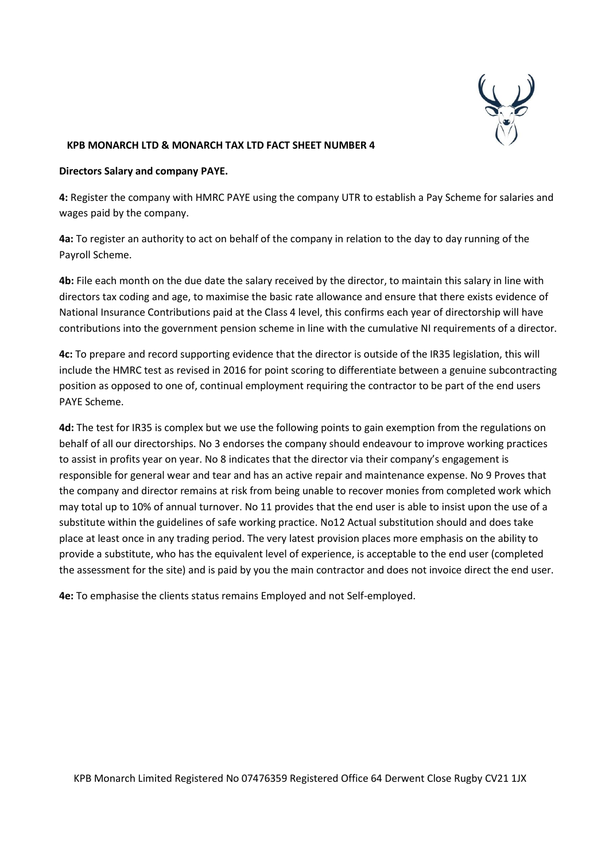

### **Directors Salary and company PAYE.**

**4:** Register the company with HMRC PAYE using the company UTR to establish a Pay Scheme for salaries and wages paid by the company.

**4a:** To register an authority to act on behalf of the company in relation to the day to day running of the Payroll Scheme.

**4b:** File each month on the due date the salary received by the director, to maintain this salary in line with directors tax coding and age, to maximise the basic rate allowance and ensure that there exists evidence of National Insurance Contributions paid at the Class 4 level, this confirms each year of directorship will have contributions into the government pension scheme in line with the cumulative NI requirements of a director.

**4c:** To prepare and record supporting evidence that the director is outside of the IR35 legislation, this will include the HMRC test as revised in 2016 for point scoring to differentiate between a genuine subcontracting position as opposed to one of, continual employment requiring the contractor to be part of the end users PAYE Scheme.

**4d:** The test for IR35 is complex but we use the following points to gain exemption from the regulations on behalf of all our directorships. No 3 endorses the company should endeavour to improve working practices to assist in profits year on year. No 8 indicates that the director via their company's engagement is responsible for general wear and tear and has an active repair and maintenance expense. No 9 Proves that the company and director remains at risk from being unable to recover monies from completed work which may total up to 10% of annual turnover. No 11 provides that the end user is able to insist upon the use of a substitute within the guidelines of safe working practice. No12 Actual substitution should and does take place at least once in any trading period. The very latest provision places more emphasis on the ability to provide a substitute, who has the equivalent level of experience, is acceptable to the end user (completed the assessment for the site) and is paid by you the main contractor and does not invoice direct the end user.

**4e:** To emphasise the clients status remains Employed and not Self-employed.